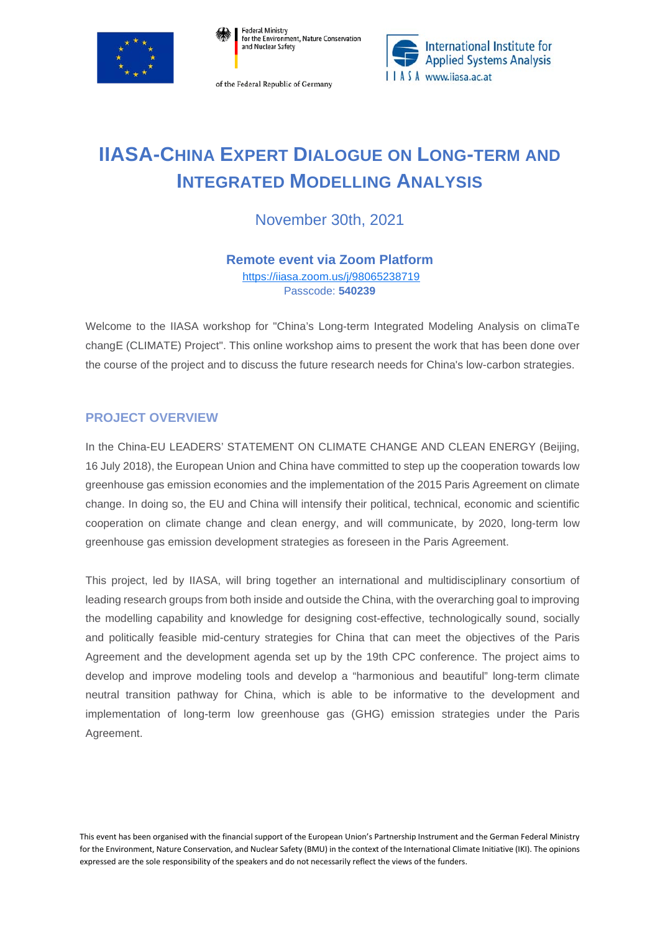

Federal Ministry<br>for the Environment, Nature Conservation and Nuclear Safety

of the Federal Republic of Germany



## **IIASA-CHINA EXPERT DIALOGUE ON LONG-TERM AND INTEGRATED MODELLING ANALYSIS**

November 30th, 2021

**Remote event via Zoom Platform** <https://iiasa.zoom.us/j/98065238719>

Passcode: **540239**

Welcome to the IIASA workshop for "China's Long-term Integrated Modeling Analysis on climaTe changE (CLIMATE) Project". This online workshop aims to present the work that has been done over the course of the project and to discuss the future research needs for China's low-carbon strategies.

## **PROJECT OVERVIEW**

In the China-EU LEADERS' STATEMENT ON CLIMATE CHANGE AND CLEAN ENERGY (Beijing, 16 July 2018), the European Union and China have committed to step up the cooperation towards low greenhouse gas emission economies and the implementation of the 2015 Paris Agreement on climate change. In doing so, the EU and China will intensify their political, technical, economic and scientific cooperation on climate change and clean energy, and will communicate, by 2020, long-term low greenhouse gas emission development strategies as foreseen in the Paris Agreement.

This project, led by IIASA, will bring together an international and multidisciplinary consortium of leading research groups from both inside and outside the China, with the overarching goal to improving the modelling capability and knowledge for designing cost-effective, technologically sound, socially and politically feasible mid-century strategies for China that can meet the objectives of the Paris Agreement and the development agenda set up by the 19th CPC conference. The project aims to develop and improve modeling tools and develop a "harmonious and beautiful" long-term climate neutral transition pathway for China, which is able to be informative to the development and implementation of long-term low greenhouse gas (GHG) emission strategies under the Paris Agreement.

This event has been organised with the financial support of the European Union's Partnership Instrument and the German Federal Ministry for the Environment, Nature Conservation, and Nuclear Safety (BMU) in the context of the International Climate Initiative (IKI). The opinions expressed are the sole responsibility of the speakers and do not necessarily reflect the views of the funders.